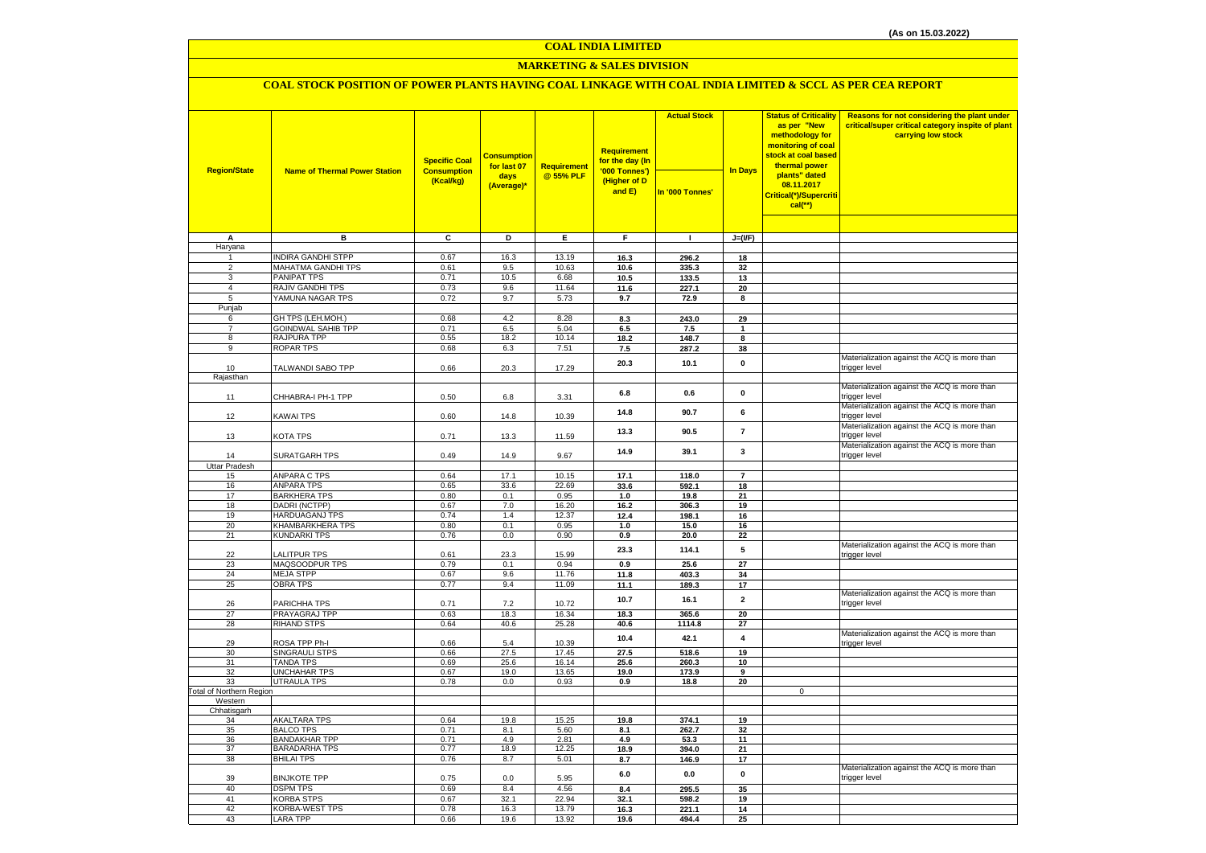#### **COAL INDIA LIMITED**

### **MARKETING & SALES DIVISION**

### **COAL STOCK POSITION OF POWER PLANTS HAVING COAL LINKAGE WITH COAL INDIA LIMITED & SCCL AS PER CEA REPORT**

| <b>Region/State</b>        | <b>Name of Thermal Power Station</b>      | <b>Specific Coal</b><br><b>Consumption</b><br>(Kcal/kg) | <b>Consumption</b><br>for last 07<br>days | Requirement<br>@ 55% PLF | <b>Requirement</b><br>for the day (In<br>'000 Tonnes')<br>(Higher of D | <b>Actual Stock</b> | <b>In Days</b> | <b>Status of Criticality</b><br>as per "New<br>methodology for<br>monitoring of coal<br>stock at coal based<br>thermal power<br>plants" dated | Reasons for not considering the plant under<br>critical/super critical category inspite of plant<br>carrying low stock |
|----------------------------|-------------------------------------------|---------------------------------------------------------|-------------------------------------------|--------------------------|------------------------------------------------------------------------|---------------------|----------------|-----------------------------------------------------------------------------------------------------------------------------------------------|------------------------------------------------------------------------------------------------------------------------|
|                            |                                           |                                                         | (Average)*                                |                          | and E)                                                                 | In '000 Tonnes'     |                | 08.11.2017<br>Critical(*)/Supercriti<br>$cal$ <sup>**</sup> )                                                                                 |                                                                                                                        |
|                            |                                           |                                                         |                                           |                          |                                                                        |                     |                |                                                                                                                                               |                                                                                                                        |
| A                          | в                                         | C                                                       | D                                         | Ε                        | F.                                                                     | $\mathbf{L}$        | $J=(I/F)$      |                                                                                                                                               |                                                                                                                        |
| Haryana<br>1               | <b>INDIRA GANDHI STPP</b>                 | 0.67                                                    | 16.3                                      | 13.19                    | 16.3                                                                   | 296.2               | 18             |                                                                                                                                               |                                                                                                                        |
| $\overline{2}$             | <b>MAHATMA GANDHI TPS</b>                 | 0.61                                                    | 9.5                                       | 10.63                    | 10.6                                                                   | 335.3               | 32             |                                                                                                                                               |                                                                                                                        |
| 3                          | <b>PANIPAT TPS</b>                        | 0.71                                                    | 10.5                                      | 6.68                     | 10.5                                                                   | 133.5               | 13             |                                                                                                                                               |                                                                                                                        |
| 4                          | RAJIV GANDHI TPS                          | 0.73                                                    | 9.6                                       | 11.64                    | 11.6                                                                   | 227.1               | 20             |                                                                                                                                               |                                                                                                                        |
| 5<br>Punjab                | YAMUNA NAGAR TPS                          | 0.72                                                    | 9.7                                       | 5.73                     | 9.7                                                                    | 72.9                | 8              |                                                                                                                                               |                                                                                                                        |
| 6                          | GH TPS (LEH.MOH.)                         | 0.68                                                    | 4.2                                       | 8.28                     | 8.3                                                                    | 243.0               | 29             |                                                                                                                                               |                                                                                                                        |
| $\overline{7}$             | <b>GOINDWAL SAHIB TPP</b>                 | 0.71                                                    | 6.5                                       | 5.04                     | 6.5                                                                    | 7.5                 | $\mathbf{1}$   |                                                                                                                                               |                                                                                                                        |
| 8                          | RAJPURA TPP                               | 0.55                                                    | 18.2                                      | 10.14                    | 18.2                                                                   | 148.7               | 8              |                                                                                                                                               |                                                                                                                        |
| 9                          | ROPAR TPS                                 | 0.68                                                    | 6.3                                       | 7.51                     | 7.5                                                                    | 287.2               | 38             |                                                                                                                                               |                                                                                                                        |
| 10                         | TALWANDI SABO TPP                         | 0.66                                                    | 20.3                                      | 17.29                    | 20.3                                                                   | 10.1                | 0              |                                                                                                                                               | Materialization against the ACQ is more than<br>trigger level                                                          |
| Rajasthan                  |                                           |                                                         |                                           |                          |                                                                        |                     |                |                                                                                                                                               | Materialization against the ACQ is more than                                                                           |
| 11                         | CHHABRA-I PH-1 TPP                        | 0.50                                                    | 6.8                                       | 3.31                     | 6.8                                                                    | 0.6                 | $\mathbf 0$    |                                                                                                                                               | trigger level<br>Materialization against the ACQ is more than                                                          |
| 12                         | KAWAI TPS                                 | 0.60                                                    | 14.8                                      | 10.39                    | 14.8                                                                   | 90.7                | 6              |                                                                                                                                               | trigger level<br>Materialization against the ACQ is more than                                                          |
| 13                         | KOTA TPS                                  | 0.71                                                    | 13.3                                      | 11.59                    | 13.3                                                                   | 90.5                | $\overline{7}$ |                                                                                                                                               | trigger level<br>Materialization against the ACQ is more than                                                          |
| 14                         | SURATGARH TPS                             | 0.49                                                    | 14.9                                      | 9.67                     | 14.9                                                                   | 39.1                | 3              |                                                                                                                                               | trigger level                                                                                                          |
| <b>Uttar Pradesh</b><br>15 | ANPARA C TPS                              | 0.64                                                    | 17.1                                      | 10.15                    | 17.1                                                                   | 118.0               | $\overline{7}$ |                                                                                                                                               |                                                                                                                        |
| 16                         | <b>ANPARA TPS</b>                         | 0.65                                                    | 33.6                                      | 22.69                    | 33.6                                                                   | 592.1               | 18             |                                                                                                                                               |                                                                                                                        |
| 17                         | <b>BARKHERA TPS</b>                       | 0.80                                                    | 0.1                                       | 0.95                     | 1.0                                                                    | 19.8                | 21             |                                                                                                                                               |                                                                                                                        |
| 18                         | <b>DADRI (NCTPP)</b>                      | 0.67                                                    | 7.0                                       | 16.20                    | 16.2                                                                   | 306.3               | 19             |                                                                                                                                               |                                                                                                                        |
| 19                         | HARDUAGANJ TPS                            | 0.74                                                    | 1.4                                       | 12.37                    | 12.4                                                                   | 198.1               | 16             |                                                                                                                                               |                                                                                                                        |
| 20<br>21                   | KHAMBARKHERA TPS<br><b>KUNDARKI TPS</b>   | 0.80<br>0.76                                            | 0.1<br>$0.0\,$                            | 0.95<br>0.90             | 1.0<br>0.9                                                             | 15.0<br>20.0        | 16<br>22       |                                                                                                                                               |                                                                                                                        |
| 22                         | <b>ALITPUR TPS</b>                        | 0.61                                                    | 23.3                                      | 15.99                    | 23.3                                                                   | 114.1               | 5              |                                                                                                                                               | Materialization against the ACQ is more than<br>trigger level                                                          |
| 23                         | MAQSOODPUR TPS                            | 0.79                                                    | 0.1                                       | 0.94                     | 0.9                                                                    | 25.6                | 27             |                                                                                                                                               |                                                                                                                        |
| 24                         | MEJA STPP                                 | 0.67                                                    | 9.6                                       | 11.76                    | 11.8                                                                   | 403.3               | 34             |                                                                                                                                               |                                                                                                                        |
| 25                         | <b>OBRA TPS</b>                           | 0.77                                                    | 9.4                                       | 11.09                    | 11.1                                                                   | 189.3               | 17             |                                                                                                                                               |                                                                                                                        |
| 26                         | PARICHHA TPS                              | 0.71                                                    | 7.2                                       | 10.72                    | 10.7                                                                   | 16.1                | $\mathbf{2}$   |                                                                                                                                               | Materialization against the ACQ is more than<br>trigger level                                                          |
| 27<br>28                   | PRAYAGRAJ TPP<br><b>RIHAND STPS</b>       | 0.63<br>0.64                                            | 18.3<br>40.6                              | 16.34<br>25.28           | 18.3<br>40.6                                                           | 365.6<br>1114.8     | 20<br>27       |                                                                                                                                               |                                                                                                                        |
| 29                         | ROSA TPP Ph-I                             | 0.66                                                    | 5.4                                       | 10.39                    | 10.4                                                                   | 42.1                | 4              |                                                                                                                                               | Materialization against the ACQ is more than<br>trigger level                                                          |
| 30                         | SINGRAULI STPS                            | 0.66                                                    | 27.5                                      | 17.45                    | 27.5                                                                   | 518.6               | 19             |                                                                                                                                               |                                                                                                                        |
| 31                         | <b>TANDA TPS</b>                          | 0.69                                                    | 25.6                                      | 16.14                    | 25.6                                                                   | 260.3               | 10             |                                                                                                                                               |                                                                                                                        |
| 32<br>33                   | <b>UNCHAHAR TPS</b><br><b>UTRAULA TPS</b> | 0.67<br>0.78                                            | 19.0<br>$0.0\,$                           | 13.65<br>0.93            | 19.0                                                                   | 173.9               | 9<br>20        |                                                                                                                                               |                                                                                                                        |
| Total of Northern Region   |                                           |                                                         |                                           |                          | 0.9                                                                    | 18.8                |                | $\mathbf 0$                                                                                                                                   |                                                                                                                        |
| Western                    |                                           |                                                         |                                           |                          |                                                                        |                     |                |                                                                                                                                               |                                                                                                                        |
| Chhatisgarh                |                                           |                                                         |                                           |                          |                                                                        |                     |                |                                                                                                                                               |                                                                                                                        |
| 34<br>35                   | AKALTARA TPS<br><b>BALCO TPS</b>          | 0.64<br>0.71                                            | 19.8<br>8.1                               | 15.25<br>5.60            | 19.8<br>8.1                                                            | 374.1<br>262.7      | 19<br>32       |                                                                                                                                               |                                                                                                                        |
| 36                         | <b>BANDAKHAR TPP</b>                      | 0.71                                                    | 4.9                                       | 2.81                     | 4.9                                                                    | 53.3                | 11             |                                                                                                                                               |                                                                                                                        |
| 37                         | <b>BARADARHA TPS</b>                      | 0.77                                                    | 18.9                                      | 12.25                    | 18.9                                                                   | 394.0               | 21             |                                                                                                                                               |                                                                                                                        |
| 38                         | <b>BHILAI TPS</b>                         | 0.76                                                    | 8.7                                       | 5.01                     | 8.7                                                                    | 146.9               | 17             |                                                                                                                                               |                                                                                                                        |
| 39                         | <b>BINJKOTE TPP</b>                       | 0.75                                                    | 0.0                                       | 5.95                     | $6.0\,$                                                                | $0.0\,$             | $\pmb{0}$      |                                                                                                                                               | Materialization against the ACQ is more than<br>trigger level                                                          |
| 40                         | <b>DSPM TPS</b>                           | 0.69                                                    | 8.4                                       | 4.56                     | 8.4                                                                    | 295.5               | 35             |                                                                                                                                               |                                                                                                                        |
| 41<br>42                   | <b>KORBA STPS</b>                         | 0.67                                                    | 32.1                                      | 22.94                    | 32.1                                                                   | 598.2               | 19             |                                                                                                                                               |                                                                                                                        |
| 43                         | KORBA-WEST TPS<br><b>LARA TPP</b>         | 0.78<br>0.66                                            | 16.3<br>19.6                              | 13.79<br>13.92           | 16.3<br>19.6                                                           | 221.1<br>494.4      | 14<br>25       |                                                                                                                                               |                                                                                                                        |
|                            |                                           |                                                         |                                           |                          |                                                                        |                     |                |                                                                                                                                               |                                                                                                                        |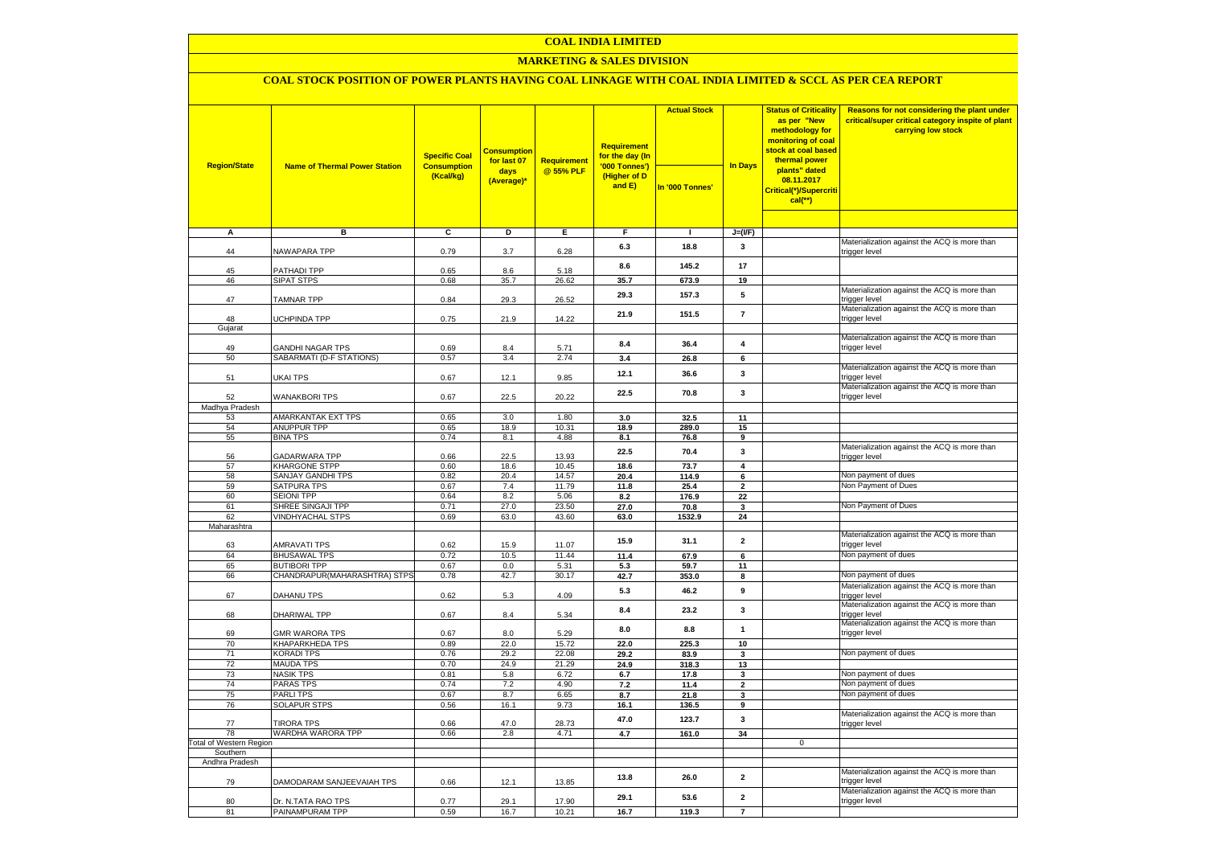### **COAL INDIA LIMITED**

### **MARKETING & SALES DIVISION**

# **COAL STOCK POSITION OF POWER PLANTS HAVING COAL LINKAGE WITH COAL INDIA LIMITED & SCCL AS PER CEA REPORT**

| <b>Region/State</b>                 | <b>Name of Thermal Power Station</b>         | <b>Specific Coal</b><br><b>Consumption</b><br>(Kcal/kg) | <b>Consumption</b><br>for last 07<br>days<br>(Average)* | <b>Requirement</b><br>@ 55% PLF | <b>Requirement</b><br>for the day (In<br>'000 Tonnes')<br>(Higher of D<br>and E) | <b>Actual Stock</b><br>In '000 Tonnes' | <b>In Days</b>  | <b>Status of Criticality</b><br>as per "New<br>methodology for<br>monitoring of coal<br>stock at coal based<br>thermal power<br>plants" dated<br>08.11.2017<br>Critical(*)/Supercriti<br>$cal$ (**) | Reasons for not considering the plant under<br>critical/super critical category inspite of plant<br>carrying low stock |
|-------------------------------------|----------------------------------------------|---------------------------------------------------------|---------------------------------------------------------|---------------------------------|----------------------------------------------------------------------------------|----------------------------------------|-----------------|-----------------------------------------------------------------------------------------------------------------------------------------------------------------------------------------------------|------------------------------------------------------------------------------------------------------------------------|
|                                     |                                              |                                                         |                                                         |                                 |                                                                                  |                                        |                 |                                                                                                                                                                                                     |                                                                                                                        |
| А                                   | в                                            | c                                                       | D                                                       | E                               | F                                                                                | п.                                     | $J=(I/F)$       |                                                                                                                                                                                                     |                                                                                                                        |
| 44                                  | NAWAPARA TPP                                 | 0.79                                                    | 3.7                                                     | 6.28                            | 6.3                                                                              | 18.8                                   | 3               |                                                                                                                                                                                                     | Materialization against the ACQ is more than<br>trigger level                                                          |
| 45                                  | PATHADI TPP                                  | 0.65                                                    | 8.6                                                     | 5.18                            | 8.6                                                                              | 145.2                                  | 17              |                                                                                                                                                                                                     |                                                                                                                        |
| 46                                  | <b>SIPAT STPS</b>                            | 0.68                                                    | 35.7                                                    | 26.62                           | 35.7                                                                             | 673.9                                  | 19              |                                                                                                                                                                                                     |                                                                                                                        |
| 47                                  | <b>TAMNAR TPP</b>                            | 0.84                                                    | 29.3                                                    | 26.52                           | 29.3                                                                             | 157.3                                  | 5               |                                                                                                                                                                                                     | Materialization against the ACQ is more than<br>trigger level                                                          |
| 48<br>Gujarat                       | <b>UCHPINDA TPP</b>                          | 0.75                                                    | 21.9                                                    | 14.22                           | 21.9                                                                             | 151.5                                  | $\overline{7}$  |                                                                                                                                                                                                     | Materialization against the ACQ is more than<br>trigger level                                                          |
|                                     |                                              |                                                         |                                                         |                                 |                                                                                  |                                        |                 |                                                                                                                                                                                                     | Materialization against the ACQ is more than                                                                           |
| 49                                  | <b>GANDHI NAGAR TPS</b>                      | 0.69                                                    | 8.4                                                     | 5.71                            | 8.4                                                                              | 36.4                                   | 4               |                                                                                                                                                                                                     | trigger level                                                                                                          |
| 50                                  | SABARMATI (D-F STATIONS)                     | 0.57                                                    | 3.4                                                     | 2.74                            | 3.4                                                                              | 26.8                                   | 6               |                                                                                                                                                                                                     |                                                                                                                        |
| 51                                  | UKAI TPS                                     | 0.67                                                    | 12.1                                                    | 9.85                            | 12.1                                                                             | 36.6                                   | 3               |                                                                                                                                                                                                     | Materialization against the ACQ is more than<br>trigger level                                                          |
| 52                                  | <b>WANAKBORI TPS</b>                         | 0.67                                                    | 22.5                                                    | 20.22                           | 22.5                                                                             | 70.8                                   | $\mathbf{3}$    |                                                                                                                                                                                                     | Materialization against the ACQ is more than<br>trigger level                                                          |
| Madhya Pradesh                      |                                              |                                                         | 3.0                                                     |                                 |                                                                                  |                                        | 11              |                                                                                                                                                                                                     |                                                                                                                        |
| 53<br>54                            | AMARKANTAK EXT TPS<br><b>ANUPPUR TPP</b>     | 0.65<br>0.65                                            | 18.9                                                    | 1.80<br>10.31                   | 3.0<br>18.9                                                                      | 32.5<br>289.0                          | 15              |                                                                                                                                                                                                     |                                                                                                                        |
| 55                                  | <b>BINA TPS</b>                              | 0.74                                                    | 8.1                                                     | 4.88                            | 8.1                                                                              | 76.8                                   | 9               |                                                                                                                                                                                                     |                                                                                                                        |
| 56                                  | <b>GADARWARA TPP</b>                         | 0.66                                                    | 22.5                                                    | 13.93                           | 22.5                                                                             | 70.4                                   | $\mathbf{3}$    |                                                                                                                                                                                                     | Materialization against the ACQ is more than<br>trigger level                                                          |
| 57                                  | KHARGONE STPP                                | 0.60                                                    | 18.6                                                    | 10.45                           | 18.6                                                                             | 73.7                                   | $\overline{4}$  |                                                                                                                                                                                                     |                                                                                                                        |
| 58                                  | SANJAY GANDHI TPS                            | 0.82                                                    | 20.4                                                    | 14.57                           | 20.4                                                                             | 114.9                                  | $6\overline{6}$ |                                                                                                                                                                                                     | Non payment of dues                                                                                                    |
| 59                                  | <b>SATPURA TPS</b>                           | 0.67                                                    | 7.4                                                     | 11.79                           | 11.8                                                                             | 25.4                                   | $\mathbf{2}$    |                                                                                                                                                                                                     | Non Payment of Dues                                                                                                    |
| 60<br>61                            | <b>SEIONI TPP</b>                            | 0.64<br>0.71                                            | 8.2<br>27.0                                             | 5.06                            | 8.2<br>27.0                                                                      | 176.9                                  | 22              |                                                                                                                                                                                                     | Non Payment of Dues                                                                                                    |
| 62                                  | SHREE SINGAJI TPP<br><b>VINDHYACHAL STPS</b> | 0.69                                                    | 63.0                                                    | 23.50<br>43.60                  | 63.0                                                                             | 70.8<br>1532.9                         | 3<br>24         |                                                                                                                                                                                                     |                                                                                                                        |
| Maharashtra                         |                                              |                                                         |                                                         |                                 |                                                                                  |                                        |                 |                                                                                                                                                                                                     |                                                                                                                        |
| 63                                  | <b>AMRAVATI TPS</b>                          | 0.62                                                    | 15.9                                                    | 11.07                           | 15.9                                                                             | 31.1                                   | $\mathbf 2$     |                                                                                                                                                                                                     | Materialization against the ACQ is more than<br>trigger level                                                          |
| 64                                  | <b>BHUSAWAL TPS</b>                          | 0.72                                                    | 10.5                                                    | 11.44                           | 11.4                                                                             | 67.9                                   | 6               |                                                                                                                                                                                                     | Non payment of dues                                                                                                    |
| 65                                  | <b>BUTIBORI TPP</b>                          | 0.67                                                    | 0.0                                                     | 5.31                            | 5.3                                                                              | 59.7                                   | 11              |                                                                                                                                                                                                     |                                                                                                                        |
| 66                                  | CHANDRAPUR(MAHARASHTRA) STPS                 | 0.78                                                    | 42.7                                                    | 30.17                           | 42.7                                                                             | 353.0                                  | 8               |                                                                                                                                                                                                     | Non payment of dues                                                                                                    |
| 67                                  | <b>DAHANU TPS</b>                            | 0.62                                                    | 5.3                                                     | 4.09                            | 5.3                                                                              | 46.2                                   | 9               |                                                                                                                                                                                                     | Materialization against the ACQ is more than<br>trigger level                                                          |
| 68                                  | DHARIWAL TPP                                 | 0.67                                                    | 8.4                                                     | 5.34                            | 8.4                                                                              | 23.2                                   | $\mathbf{3}$    |                                                                                                                                                                                                     | Materialization against the ACQ is more than<br>trigger level                                                          |
| 69                                  | <b>GMR WARORA TPS</b>                        | 0.67                                                    | 8.0                                                     | 5.29                            | $\bf 8.0$                                                                        | 8.8                                    | $\mathbf{1}$    |                                                                                                                                                                                                     | Materialization against the ACQ is more than<br>trigger level                                                          |
| 70<br>71                            | KHAPARKHEDA TPS<br>KORADI TPS                | 0.89<br>0.76                                            | 22.0<br>29.2                                            | 15.72<br>22.08                  | 22.0<br>29.2                                                                     | 225.3<br>83.9                          | $10\,$<br>3     |                                                                                                                                                                                                     | Non payment of dues                                                                                                    |
| 72                                  | <b>MAUDA TPS</b>                             | 0.70                                                    | 24.9                                                    | 21.29                           | 24.9                                                                             | 318.3                                  | 13              |                                                                                                                                                                                                     |                                                                                                                        |
| 73                                  | <b>NASIK TPS</b>                             | 0.81                                                    | 5.8                                                     | 6.72                            | 6.7                                                                              | 17.8                                   | 3               |                                                                                                                                                                                                     | Non payment of dues                                                                                                    |
| 74                                  | PARAS TPS                                    | 0.74                                                    | 7.2                                                     | 4.90                            | 7.2                                                                              | 11.4                                   | $\overline{2}$  |                                                                                                                                                                                                     | Non payment of dues                                                                                                    |
| 75                                  | <b>PARLITPS</b>                              | 0.67                                                    | 8.7                                                     | 6.65                            | 8.7                                                                              | 21.8                                   | 3               |                                                                                                                                                                                                     | Non payment of dues                                                                                                    |
| 76                                  | <b>SOLAPUR STPS</b>                          | 0.56                                                    | 16.1                                                    | 9.73                            | 16.1                                                                             | 136.5                                  | 9               |                                                                                                                                                                                                     |                                                                                                                        |
| 77                                  | <b>TIRORA TPS</b>                            | 0.66                                                    | 47.0                                                    | 28.73                           | 47.0                                                                             | 123.7                                  | $\mathbf{3}$    |                                                                                                                                                                                                     | Materialization against the ACQ is more than<br>trigger level                                                          |
| 78                                  | WARDHA WARORA TPP                            | 0.66                                                    | 2.8                                                     | 4.71                            | 4.7                                                                              | 161.0                                  | 34              |                                                                                                                                                                                                     |                                                                                                                        |
| Total of Western Region<br>Southern |                                              |                                                         |                                                         |                                 |                                                                                  |                                        |                 | $\mathbf 0$                                                                                                                                                                                         |                                                                                                                        |
| Andhra Pradesh                      |                                              |                                                         |                                                         |                                 |                                                                                  |                                        |                 |                                                                                                                                                                                                     |                                                                                                                        |
| 79                                  | DAMODARAM SANJEEVAIAH TPS                    | 0.66                                                    | 12.1                                                    | 13.85                           | 13.8                                                                             | 26.0                                   | $\mathbf 2$     |                                                                                                                                                                                                     | Materialization against the ACQ is more than<br>trigger level                                                          |
| 80                                  | Dr. N.TATA RAO TPS                           | 0.77                                                    | 29.1                                                    | 17.90                           | 29.1                                                                             | 53.6                                   | $\mathbf 2$     |                                                                                                                                                                                                     | Materialization against the ACQ is more than<br>trigger level                                                          |
| 81                                  | PAINAMPURAM TPP                              | 0.59                                                    | 16.7                                                    | 10.21                           | 16.7                                                                             | 119.3                                  | $\overline{7}$  |                                                                                                                                                                                                     |                                                                                                                        |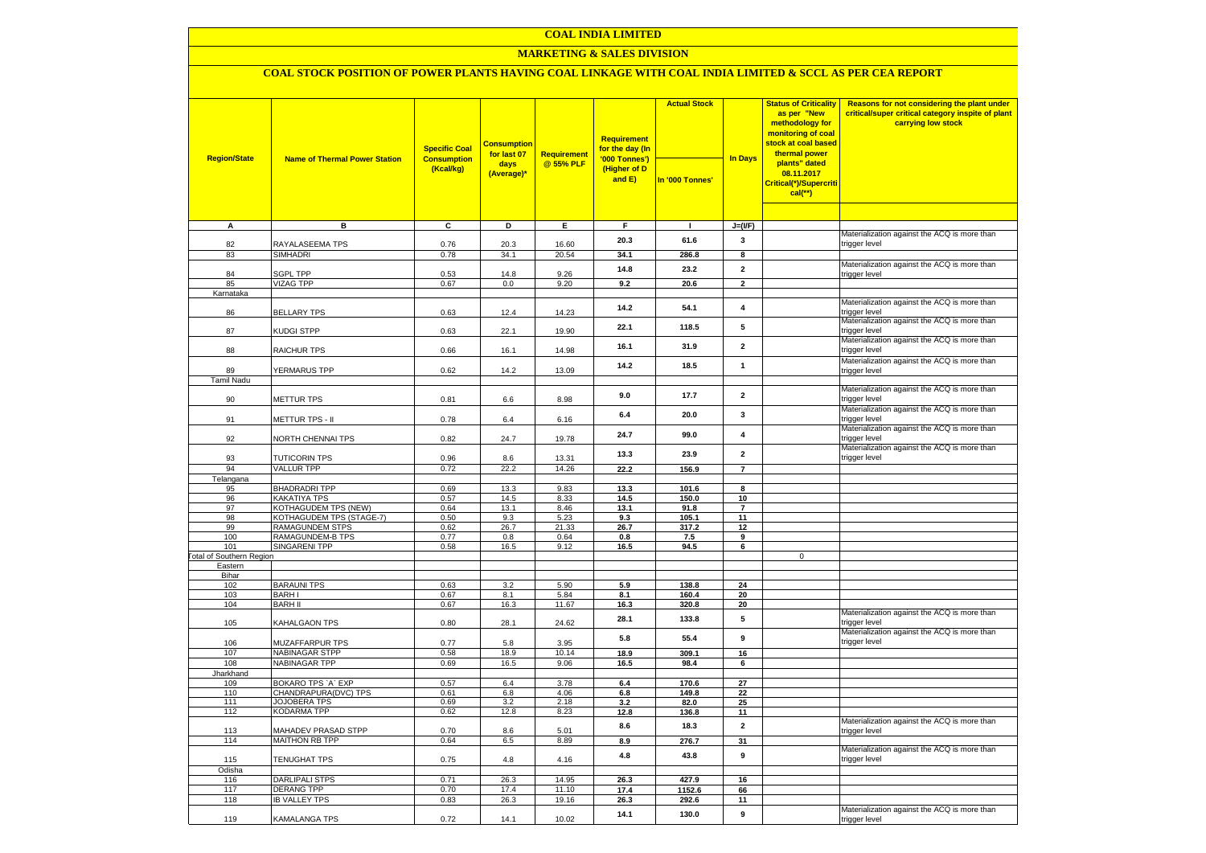### **COAL INDIA LIMITED**

### **MARKETING & SALES DIVISION**

## **COAL STOCK POSITION OF POWER PLANTS HAVING COAL LINKAGE WITH COAL INDIA LIMITED & SCCL AS PER CEA REPORT**

|                                 |                                                  | <b>Specific Coal</b>            | <b>Consumption</b><br>for last 07 | Requirement    | <b>Requirement</b><br>for the day (In   | <b>Actual Stock</b> |                         | <b>Status of Criticality</b><br>as per "New<br>methodology for<br>monitoring of coal<br><mark>stock at coal based</mark><br>thermal power | Reasons for not considering the plant under<br>critical/super critical category inspite of plant<br>carrying low stock |
|---------------------------------|--------------------------------------------------|---------------------------------|-----------------------------------|----------------|-----------------------------------------|---------------------|-------------------------|-------------------------------------------------------------------------------------------------------------------------------------------|------------------------------------------------------------------------------------------------------------------------|
| <b>Region/State</b>             | <b>Name of Thermal Power Station</b>             | <b>Consumption</b><br>(Kcal/kg) | days<br>(Average)*                | @ 55% PLF      | '000 Tonnes')<br>(Higher of D<br>and E) | In '000 Tonnes'     | <b>In Days</b>          | plants" dated<br>08.11.2017<br>Critical(*)/Supercriti<br>$cal$ (**)                                                                       |                                                                                                                        |
|                                 |                                                  |                                 |                                   |                |                                         |                     |                         |                                                                                                                                           |                                                                                                                        |
| $\overline{A}$                  | в                                                | c                               | Þ                                 | E              | F                                       | $\mathbf{I}$        | $J=(I/F)$               |                                                                                                                                           | Materialization against the ACQ is more than                                                                           |
| 82                              | RAYALASEEMA TPS                                  | 0.76                            | 20.3                              | 16.60          | 20.3                                    | 61.6                | 3                       |                                                                                                                                           | trigger level                                                                                                          |
| 83                              | <b>SIMHADRI</b>                                  | 0.78                            | 34.1                              | 20.54          | 34.1                                    | 286.8               | 8                       |                                                                                                                                           |                                                                                                                        |
|                                 |                                                  |                                 |                                   |                | 14.8                                    | 23.2                | $\overline{2}$          |                                                                                                                                           | Materialization against the ACQ is more than                                                                           |
| 84                              | <b>SGPL TPP</b>                                  | 0.53                            | 14.8                              | 9.26           |                                         |                     |                         |                                                                                                                                           | trigger level                                                                                                          |
| 85<br>Karnataka                 | <b>VIZAG TPP</b>                                 | 0.67                            | 0.0                               | 9.20           | 9.2                                     | 20.6                | $\overline{2}$          |                                                                                                                                           |                                                                                                                        |
|                                 |                                                  |                                 |                                   |                |                                         |                     |                         |                                                                                                                                           | Materialization against the ACQ is more than                                                                           |
| 86                              | <b>BELLARY TPS</b>                               | 0.63                            | 12.4                              | 14.23          | 14.2                                    | 54.1                | $\overline{\mathbf{4}}$ |                                                                                                                                           | trigger level                                                                                                          |
| 87                              | KUDGI STPP                                       | 0.63                            | 22.1                              | 19.90          | 22.1                                    | 118.5               | 5                       |                                                                                                                                           | Materialization against the ACQ is more than<br>trigger level                                                          |
| 88                              | RAICHUR TPS                                      | 0.66                            | 16.1                              | 14.98          | 16.1                                    | 31.9                | $\overline{\mathbf{2}}$ |                                                                                                                                           | Materialization against the ACQ is more than<br>trigger level                                                          |
|                                 |                                                  |                                 |                                   |                | 14.2                                    | 18.5                | $\mathbf{1}$            |                                                                                                                                           | Materialization against the ACQ is more than                                                                           |
| 89                              | YERMARUS TPP                                     | 0.62                            | 14.2                              | 13.09          |                                         |                     |                         |                                                                                                                                           | trigger level                                                                                                          |
| <b>Tamil Nadu</b>               |                                                  |                                 |                                   |                |                                         |                     |                         |                                                                                                                                           | Materialization against the ACQ is more than                                                                           |
| 90                              | <b>METTUR TPS</b>                                | 0.81                            | 6.6                               | 8.98           | 9.0                                     | 17.7                | $\overline{\mathbf{2}}$ |                                                                                                                                           | trigger level                                                                                                          |
| 91                              | METTUR TPS - II                                  | 0.78                            | 6.4                               | 6.16           | 6.4                                     | 20.0                | $\mathbf{3}$            |                                                                                                                                           | Materialization against the ACQ is more than<br>trigger level                                                          |
|                                 |                                                  |                                 |                                   |                |                                         |                     |                         |                                                                                                                                           | Materialization against the ACQ is more than                                                                           |
| 92                              | NORTH CHENNAI TPS                                | 0.82                            | 24.7                              | 19.78          | 24.7                                    | 99.0                | $\overline{4}$          |                                                                                                                                           | trigger level<br>Materialization against the ACQ is more than                                                          |
| 93                              | <b>TUTICORIN TPS</b>                             | 0.96                            | 8.6                               | 13.31          | 13.3                                    | 23.9                | $\overline{2}$          |                                                                                                                                           | trigger level                                                                                                          |
| 94                              | <b>VALLUR TPP</b>                                | 0.72                            | 22.2                              | 14.26          | 22.2                                    | 156.9               | $\overline{7}$          |                                                                                                                                           |                                                                                                                        |
| Telangana                       |                                                  |                                 |                                   |                |                                         |                     |                         |                                                                                                                                           |                                                                                                                        |
| 95                              | <b>BHADRADRI TPP</b>                             | 0.69                            | 13.3                              | 9.83           | 13.3                                    | 101.6               | 8                       |                                                                                                                                           |                                                                                                                        |
| 96<br>97                        | KAKATIYA TPS                                     | 0.57<br>0.64                    | 14.5                              | 8.33<br>8.46   | 14.5<br>13.1                            | 150.0               | 10<br>$\overline{7}$    |                                                                                                                                           |                                                                                                                        |
| 98                              | KOTHAGUDEM TPS (NEW)<br>KOTHAGUDEM TPS (STAGE-7) | 0.50                            | 13.1<br>9.3                       | 5.23           | 9.3                                     | 91.8<br>105.1       | 11                      |                                                                                                                                           |                                                                                                                        |
| 99                              | <b>RAMAGUNDEM STPS</b>                           | 0.62                            | 26.7                              | 21.33          | 26.7                                    | 317.2               | 12                      |                                                                                                                                           |                                                                                                                        |
| 100                             | RAMAGUNDEM-B TPS                                 | 0.77                            | 0.8                               | 0.64           | 0.8                                     | 7.5                 | 9                       |                                                                                                                                           |                                                                                                                        |
| 101                             | <b>SINGARENI TPP</b>                             | 0.58                            | 16.5                              | 9.12           | 16.5                                    | 94.5                | 6                       |                                                                                                                                           |                                                                                                                        |
| <b>Total of Southern Region</b> |                                                  |                                 |                                   |                |                                         |                     |                         | $\mathbf 0$                                                                                                                               |                                                                                                                        |
| Eastern<br>Bihar                |                                                  |                                 |                                   |                |                                         |                     |                         |                                                                                                                                           |                                                                                                                        |
| 102                             | <b>BARAUNI TPS</b>                               | 0.63                            | 3.2                               | 5.90           | 5.9                                     | 138.8               | 24                      |                                                                                                                                           |                                                                                                                        |
| 103                             | <b>BARHI</b>                                     | 0.67                            | 8.1                               | 5.84           | 8.1                                     | 160.4               | 20                      |                                                                                                                                           |                                                                                                                        |
| 104                             | <b>BARH II</b>                                   | 0.67                            | 16.3                              | 11.67          | 16.3                                    | 320.8               | 20                      |                                                                                                                                           |                                                                                                                        |
| 105                             | KAHALGAON TPS                                    | 0.80                            | 28.1                              | 24.62          | 28.1                                    | 133.8               | 5                       |                                                                                                                                           | Materialization against the ACQ is more than<br>trigger level                                                          |
| 106                             | MUZAFFARPUR TPS                                  | 0.77                            | 5.8                               | 3.95           | 5.8                                     | 55.4                | 9                       |                                                                                                                                           | Materialization against the ACQ is more than<br>trigger level                                                          |
| 107                             | <b>NABINAGAR STPP</b>                            | 0.58                            | 18.9                              | 10.14          | 18.9                                    | 309.1               | 16                      |                                                                                                                                           |                                                                                                                        |
| 108                             | <b>NABINAGAR TPP</b>                             | 0.69                            | 16.5                              | 9.06           | 16.5                                    | 98.4                | 6                       |                                                                                                                                           |                                                                                                                        |
| Jharkhand                       |                                                  |                                 |                                   |                |                                         |                     |                         |                                                                                                                                           |                                                                                                                        |
| 109<br>110                      | BOKARO TPS 'A' EXP<br>CHANDRAPURA(DVC) TPS       | 0.57<br>0.61                    | 6.4<br>6.8                        | 3.78<br>4.06   | 6.4<br>$6.8\,$                          | 170.6<br>149.8      | 27<br>22                |                                                                                                                                           |                                                                                                                        |
| 111                             | <b>JOJOBERA TPS</b>                              | 0.69                            | 3.2                               | 2.18           | 3.2                                     | 82.0                | 25                      |                                                                                                                                           |                                                                                                                        |
| 112                             | <b>KODARMA TPP</b>                               | 0.62                            | 12.8                              | 8.23           | 12.8                                    | 136.8               | 11                      |                                                                                                                                           |                                                                                                                        |
| 113                             | MAHADEV PRASAD STPP                              | 0.70                            | 8.6                               | 5.01           | 8.6                                     | 18.3                | $\mathbf 2$             |                                                                                                                                           | Materialization against the ACQ is more than<br>trigger level                                                          |
| 114                             | <b>MAITHON RB TPP</b>                            | 0.64                            | 6.5                               | 8.89           | 8.9                                     | 276.7               | 31                      |                                                                                                                                           |                                                                                                                        |
| 115                             | TENUGHAT TPS                                     | 0.75                            | $4.8\,$                           | 4.16           | 4.8                                     | 43.8                | 9                       |                                                                                                                                           | Materialization against the ACQ is more than<br>trigger level                                                          |
| Odisha                          |                                                  |                                 |                                   |                |                                         |                     |                         |                                                                                                                                           |                                                                                                                        |
| 116<br>117                      | DARLIPALI STPS<br><b>DERANG TPP</b>              | 0.71<br>0.70                    | 26.3<br>17.4                      | 14.95          | 26.3                                    | 427.9               | 16                      |                                                                                                                                           |                                                                                                                        |
| 118                             | <b>IB VALLEY TPS</b>                             | 0.83                            | 26.3                              | 11.10<br>19.16 | 17.4<br>26.3                            | 1152.6<br>292.6     | 66<br>11                |                                                                                                                                           |                                                                                                                        |
|                                 |                                                  |                                 |                                   |                |                                         |                     |                         |                                                                                                                                           | Materialization against the ACQ is more than                                                                           |
| 119                             | KAMALANGA TPS                                    | 0.72                            | 14.1                              | 10.02          | 14.1                                    | 130.0               | 9                       |                                                                                                                                           | trigger level                                                                                                          |